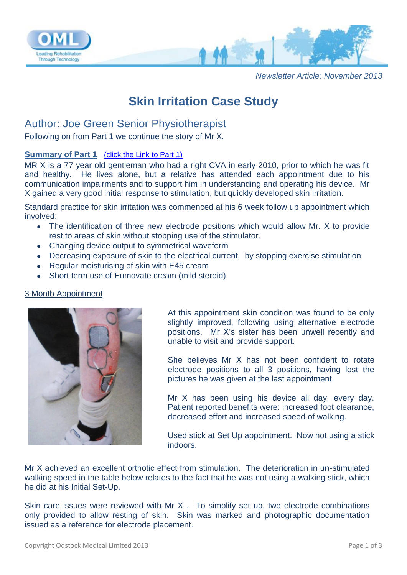

*Newsletter Article: November 2013*

# **Skin Irritation Case Study**

## Author: Joe Green Senior Physiotherapist

Following on from Part 1 we continue the story of Mr X.

### **Summary of Part 1** [\(click the Link to Part 1\)](http://www.odstockmedical.com/sites/default/files/skin_irritation_case_study__october2012_0.pdf)

MR X is a 77 year old gentleman who had a right CVA in early 2010, prior to which he was fit and healthy. He lives alone, but a relative has attended each appointment due to his communication impairments and to support him in understanding and operating his device. Mr X gained a very good initial response to stimulation, but quickly developed skin irritation.

Standard practice for skin irritation was commenced at his 6 week follow up appointment which involved:

- The identification of three new electrode positions which would allow Mr. X to provide rest to areas of skin without stopping use of the stimulator.
- Changing device output to symmetrical waveform
- Decreasing exposure of skin to the electrical current, by stopping exercise stimulation
- Regular moisturising of skin with E45 cream
- Short term use of Eumovate cream (mild steroid)

#### 3 Month Appointment



At this appointment skin condition was found to be only slightly improved, following using alternative electrode positions. Mr X's sister has been unwell recently and unable to visit and provide support.

She believes Mr X has not been confident to rotate electrode positions to all 3 positions, having lost the pictures he was given at the last appointment.

Mr X has been using his device all day, every day. Patient reported benefits were: increased foot clearance, decreased effort and increased speed of walking.

Used stick at Set Up appointment. Now not using a stick indoors.

Mr X achieved an excellent orthotic effect from stimulation. The deterioration in un-stimulated walking speed in the table below relates to the fact that he was not using a walking stick, which he did at his Initial Set-Up.

Skin care issues were reviewed with Mr X . To simplify set up, two electrode combinations only provided to allow resting of skin. Skin was marked and photographic documentation issued as a reference for electrode placement.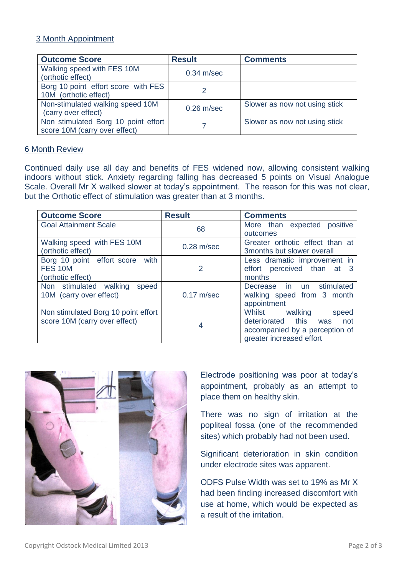### 3 Month Appointment

| <b>Outcome Score</b>                                                 | <b>Result</b> | <b>Comments</b>               |
|----------------------------------------------------------------------|---------------|-------------------------------|
| Walking speed with FES 10M<br>(orthotic effect)                      | $0.34$ m/sec  |                               |
| Borg 10 point effort score with FES<br>10M (orthotic effect)         |               |                               |
| Non-stimulated walking speed 10M<br>(carry over effect)              | $0.26$ m/sec  | Slower as now not using stick |
| Non stimulated Borg 10 point effort<br>score 10M (carry over effect) |               | Slower as now not using stick |

### 6 Month Review

Continued daily use all day and benefits of FES widened now, allowing consistent walking indoors without stick. Anxiety regarding falling has decreased 5 points on Visual Analogue Scale. Overall Mr X walked slower at today's appointment. The reason for this was not clear, but the Orthotic effect of stimulation was greater than at 3 months.

| <b>Outcome Score</b>                | <b>Result</b>  | <b>Comments</b>                 |
|-------------------------------------|----------------|---------------------------------|
| <b>Goal Attainment Scale</b>        | 68             | More than expected positive     |
|                                     |                | outcomes                        |
| Walking speed with FES 10M          | $0.28$ m/sec   | Greater orthotic effect than at |
| (orthotic effect)                   |                | 3 months but slower overall     |
| Borg 10 point effort score with     |                | Less dramatic improvement in    |
| FES <sub>10M</sub>                  | $\overline{2}$ | effort perceived than at 3      |
| (orthotic effect)                   |                | months                          |
| Non stimulated walking<br>speed     |                | Decrease in un stimulated       |
| 10M (carry over effect)             | $0.17$ m/sec   | walking speed from 3 month      |
|                                     |                | appointment                     |
| Non stimulated Borg 10 point effort | 4              | walking<br>Whilst<br>speed      |
| score 10M (carry over effect)       |                | deteriorated this<br>not<br>was |
|                                     |                | accompanied by a perception of  |
|                                     |                | greater increased effort        |



Electrode positioning was poor at today's appointment, probably as an attempt to place them on healthy skin.

There was no sign of irritation at the popliteal fossa (one of the recommended sites) which probably had not been used.

Significant deterioration in skin condition under electrode sites was apparent.

ODFS Pulse Width was set to 19% as Mr X had been finding increased discomfort with use at home, which would be expected as a result of the irritation.